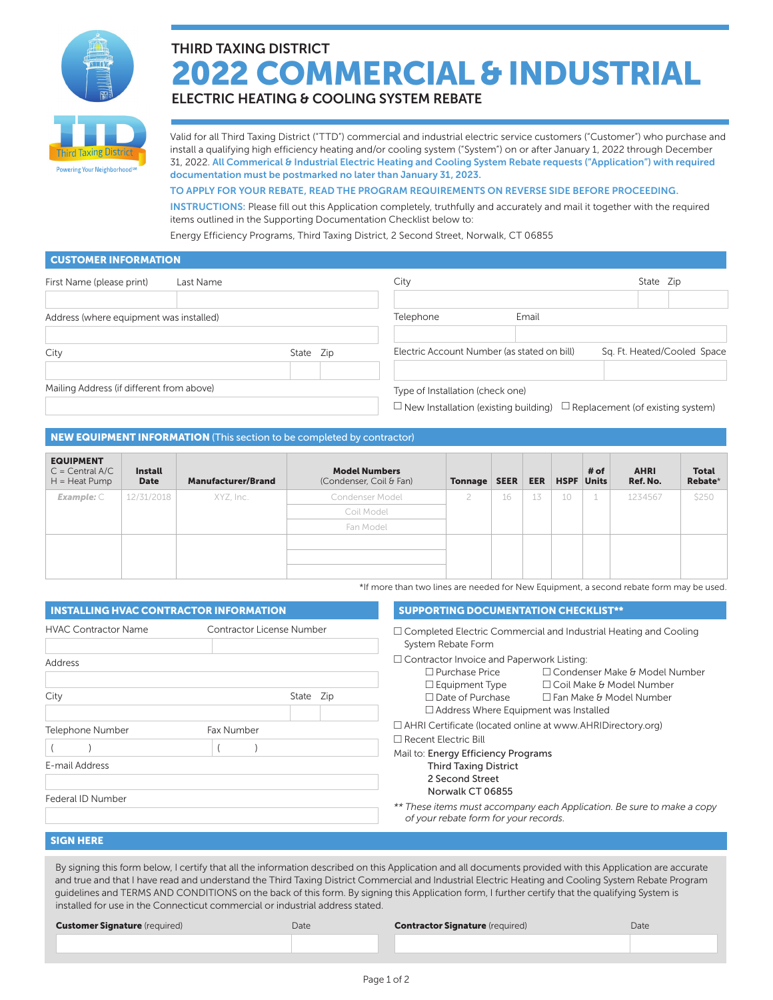

# THIRD TAXING DISTRICT 2022 COMMERCIAL & INDUSTRIAL

ELECTRIC HEATING & COOLING SYSTEM REBATE

Valid for all Third Taxing District ("TTD") commercial and industrial electric service customers ("Customer") who purchase and install a qualifying high efficiency heating and/or cooling system ("System") on or after January 1, 2022 through December 31, 2022. All Commerical & Industrial Electric Heating and Cooling System Rebate requests ("Application") with required documentation must be postmarked no later than January 31, 2023.

# TO APPLY FOR YOUR REBATE, READ THE PROGRAM REQUIREMENTS ON REVERSE SIDE BEFORE PROCEEDING.

INSTRUCTIONS: Please fill out this Application completely, truthfully and accurately and mail it together with the required items outlined in the Supporting Documentation Checklist below to:

Energy Efficiency Programs, Third Taxing District, 2 Second Street, Norwalk, CT 06855

## CUSTOMER INFORMATION

| First Name (please print)                 | Last Name |           | City                             |                                             | State Zip                                                                           |
|-------------------------------------------|-----------|-----------|----------------------------------|---------------------------------------------|-------------------------------------------------------------------------------------|
|                                           |           |           |                                  |                                             |                                                                                     |
| Address (where equipment was installed)   |           |           | Telephone                        | Email                                       |                                                                                     |
| City                                      |           | State Zip |                                  | Electric Account Number (as stated on bill) | Sq. Ft. Heated/Cooled Space                                                         |
| Mailing Address (if different from above) |           |           | Type of Installation (check one) |                                             | $\Box$ New Installation (existing building) $\Box$ Replacement (of existing system) |

# NEW EQUIPMENT INFORMATION (This section to be completed by contractor)

| <b>EQUIPMENT</b><br>$C = Central A/C$<br>$H = Heat Pump$ | <b>Install</b><br><b>Date</b> | <b>Manufacturer/Brand</b> | <b>Model Numbers</b><br>(Condenser, Coil & Fan) | <b>Tonnage SEER</b> |    | <b>EER</b> | <b>HSPF</b> Units | # of | <b>AHRI</b><br>Ref. No. | <b>Total</b><br>Rebate* |
|----------------------------------------------------------|-------------------------------|---------------------------|-------------------------------------------------|---------------------|----|------------|-------------------|------|-------------------------|-------------------------|
| Example: $C$                                             | 12/31/2018                    | XYZ, Inc.                 | Condenser Model                                 |                     | 16 | 13         | 10                |      | 1234567                 | \$250                   |
|                                                          |                               |                           | Coil Model                                      |                     |    |            |                   |      |                         |                         |
|                                                          |                               |                           | Fan Model                                       |                     |    |            |                   |      |                         |                         |
|                                                          |                               |                           |                                                 |                     |    |            |                   |      |                         |                         |
|                                                          |                               |                           |                                                 |                     |    |            |                   |      |                         |                         |
|                                                          |                               |                           |                                                 |                     |    |            |                   |      |                         |                         |

\*If more than two lines are needed for New Equipment, a second rebate form may be used.

| <b>INSTALLING HVAC CONTRACTOR INFORMATION</b>                         |                           | <b>SUPPORTING DOCUMENTATION CHECKLIST**</b>                                                                                                                                                                                                                                                                                                                                  |  |  |  |
|-----------------------------------------------------------------------|---------------------------|------------------------------------------------------------------------------------------------------------------------------------------------------------------------------------------------------------------------------------------------------------------------------------------------------------------------------------------------------------------------------|--|--|--|
| <b>HVAC Contractor Name</b>                                           | Contractor License Number | $\Box$ Completed Electric Commercial and Industrial Heating and Cooling<br>System Rebate Form                                                                                                                                                                                                                                                                                |  |  |  |
| Address<br>City                                                       | State Zip                 | $\Box$ Contractor Invoice and Paperwork Listing:<br>$\Box$ Purchase Price<br>$\Box$ Condenser Make & Model Number<br>$\square$ Equipment Type<br>$\Box$ Coil Make & Model Number<br>$\Box$ Date of Purchase<br>$\Box$ Fan Make & Model Number                                                                                                                                |  |  |  |
| Telephone Number<br>Fax Number<br>E-mail Address<br>Federal ID Number |                           | $\Box$ Address Where Equipment was Installed<br>□ AHRI Certificate (located online at www.AHRIDirectory.org)<br>$\Box$ Recent Electric Bill<br>Mail to: Energy Efficiency Programs<br><b>Third Taxing District</b><br>2 Second Street<br>Norwalk CT 06855<br>** These items must accompany each Application. Be sure to make a copy<br>of your rebate form for your records. |  |  |  |

# SIGN HERE

By signing this form below, I certify that all the information described on this Application and all documents provided with this Application are accurate and true and that I have read and understand the Third Taxing District Commercial and Industrial Electric Heating and Cooling System Rebate Program guidelines and TERMS AND CONDITIONS on the back of this form. By signing this Application form, I further certify that the qualifying System is installed for use in the Connecticut commercial or industrial address stated.

**Customer Signature** (required) Date **Contractor Signature** (required) Date